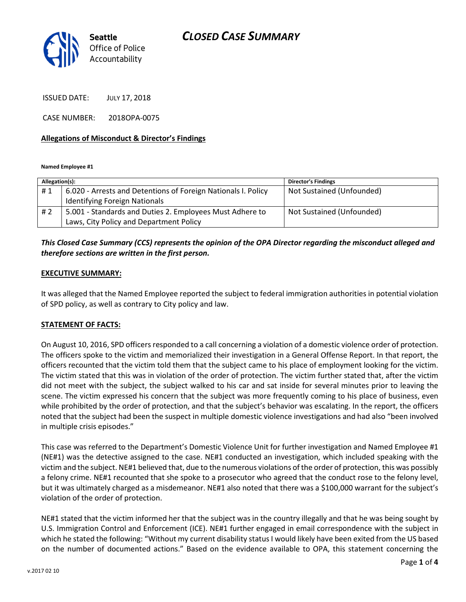

ISSUED DATE: JULY 17, 2018

CASE NUMBER: 2018OPA-0075

#### Allegations of Misconduct & Director's Findings

Named Employee #1

| Allegation(s): |                                                               | <b>Director's Findings</b> |
|----------------|---------------------------------------------------------------|----------------------------|
| #1             | 6.020 - Arrests and Detentions of Foreign Nationals I. Policy | Not Sustained (Unfounded)  |
|                | <b>Identifying Foreign Nationals</b>                          |                            |
| # 2            | 5.001 - Standards and Duties 2. Employees Must Adhere to      | Not Sustained (Unfounded)  |
|                | Laws, City Policy and Department Policy                       |                            |

#### This Closed Case Summary (CCS) represents the opinion of the OPA Director regarding the misconduct alleged and therefore sections are written in the first person.

#### EXECUTIVE SUMMARY:

It was alleged that the Named Employee reported the subject to federal immigration authorities in potential violation of SPD policy, as well as contrary to City policy and law.

#### STATEMENT OF FACTS:

On August 10, 2016, SPD officers responded to a call concerning a violation of a domestic violence order of protection. The officers spoke to the victim and memorialized their investigation in a General Offense Report. In that report, the officers recounted that the victim told them that the subject came to his place of employment looking for the victim. The victim stated that this was in violation of the order of protection. The victim further stated that, after the victim did not meet with the subject, the subject walked to his car and sat inside for several minutes prior to leaving the scene. The victim expressed his concern that the subject was more frequently coming to his place of business, even while prohibited by the order of protection, and that the subject's behavior was escalating. In the report, the officers noted that the subject had been the suspect in multiple domestic violence investigations and had also "been involved in multiple crisis episodes."

This case was referred to the Department's Domestic Violence Unit for further investigation and Named Employee #1 (NE#1) was the detective assigned to the case. NE#1 conducted an investigation, which included speaking with the victim and the subject. NE#1 believed that, due to the numerous violations of the order of protection, this was possibly a felony crime. NE#1 recounted that she spoke to a prosecutor who agreed that the conduct rose to the felony level, but it was ultimately charged as a misdemeanor. NE#1 also noted that there was a \$100,000 warrant for the subject's violation of the order of protection.

NE#1 stated that the victim informed her that the subject was in the country illegally and that he was being sought by U.S. Immigration Control and Enforcement (ICE). NE#1 further engaged in email correspondence with the subject in which he stated the following: "Without my current disability status I would likely have been exited from the US based on the number of documented actions." Based on the evidence available to OPA, this statement concerning the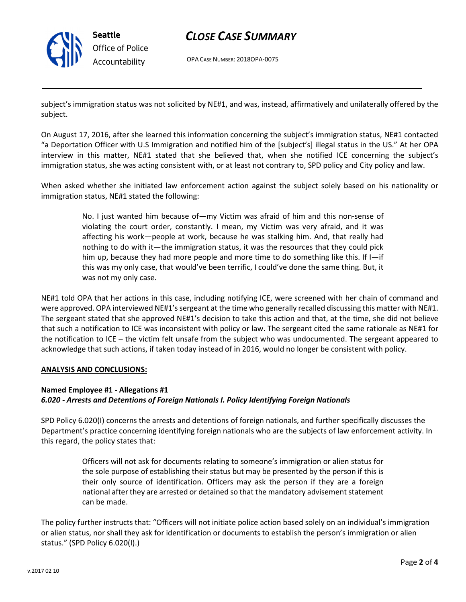

## CLOSE CASE SUMMARY

OPA CASE NUMBER: 2018OPA-0075

subject's immigration status was not solicited by NE#1, and was, instead, affirmatively and unilaterally offered by the subject.

On August 17, 2016, after she learned this information concerning the subject's immigration status, NE#1 contacted "a Deportation Officer with U.S Immigration and notified him of the [subject's] illegal status in the US." At her OPA interview in this matter, NE#1 stated that she believed that, when she notified ICE concerning the subject's immigration status, she was acting consistent with, or at least not contrary to, SPD policy and City policy and law.

When asked whether she initiated law enforcement action against the subject solely based on his nationality or immigration status, NE#1 stated the following:

> No. I just wanted him because of—my Victim was afraid of him and this non-sense of violating the court order, constantly. I mean, my Victim was very afraid, and it was affecting his work—people at work, because he was stalking him. And, that really had nothing to do with it—the immigration status, it was the resources that they could pick him up, because they had more people and more time to do something like this. If I—if this was my only case, that would've been terrific, I could've done the same thing. But, it was not my only case.

NE#1 told OPA that her actions in this case, including notifying ICE, were screened with her chain of command and were approved. OPA interviewed NE#1's sergeant at the time who generally recalled discussing this matter with NE#1. The sergeant stated that she approved NE#1's decision to take this action and that, at the time, she did not believe that such a notification to ICE was inconsistent with policy or law. The sergeant cited the same rationale as NE#1 for the notification to ICE – the victim felt unsafe from the subject who was undocumented. The sergeant appeared to acknowledge that such actions, if taken today instead of in 2016, would no longer be consistent with policy.

#### ANALYSIS AND CONCLUSIONS:

## Named Employee #1 - Allegations #1 6.020 - Arrests and Detentions of Foreign Nationals I. Policy Identifying Foreign Nationals

SPD Policy 6.020(I) concerns the arrests and detentions of foreign nationals, and further specifically discusses the Department's practice concerning identifying foreign nationals who are the subjects of law enforcement activity. In this regard, the policy states that:

> Officers will not ask for documents relating to someone's immigration or alien status for the sole purpose of establishing their status but may be presented by the person if this is their only source of identification. Officers may ask the person if they are a foreign national after they are arrested or detained so that the mandatory advisement statement can be made.

The policy further instructs that: "Officers will not initiate police action based solely on an individual's immigration or alien status, nor shall they ask for identification or documents to establish the person's immigration or alien status." (SPD Policy 6.020(I).)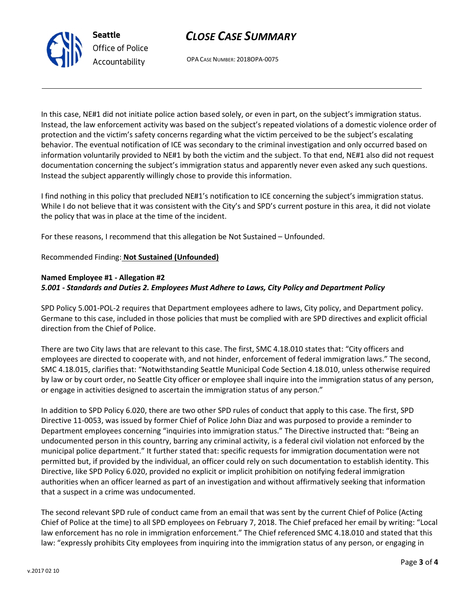v.2017 02 10

CLOSE CASE SUMMARY

OPA CASE NUMBER: 2018OPA-0075

In this case, NE#1 did not initiate police action based solely, or even in part, on the subject's immigration status. Instead, the law enforcement activity was based on the subject's repeated violations of a domestic violence order of protection and the victim's safety concerns regarding what the victim perceived to be the subject's escalating behavior. The eventual notification of ICE was secondary to the criminal investigation and only occurred based on information voluntarily provided to NE#1 by both the victim and the subject. To that end, NE#1 also did not request documentation concerning the subject's immigration status and apparently never even asked any such questions. Instead the subject apparently willingly chose to provide this information.

I find nothing in this policy that precluded NE#1's notification to ICE concerning the subject's immigration status. While I do not believe that it was consistent with the City's and SPD's current posture in this area, it did not violate the policy that was in place at the time of the incident.

For these reasons, I recommend that this allegation be Not Sustained – Unfounded.

## Recommended Finding: Not Sustained (Unfounded)

Seattle

Office of Police Accountability

### Named Employee #1 - Allegation #2 5.001 - Standards and Duties 2. Employees Must Adhere to Laws, City Policy and Department Policy

SPD Policy 5.001-POL-2 requires that Department employees adhere to laws, City policy, and Department policy. Germane to this case, included in those policies that must be complied with are SPD directives and explicit official direction from the Chief of Police.

There are two City laws that are relevant to this case. The first, SMC 4.18.010 states that: "City officers and employees are directed to cooperate with, and not hinder, enforcement of federal immigration laws." The second, SMC 4.18.015, clarifies that: "Notwithstanding Seattle Municipal Code Section 4.18.010, unless otherwise required by law or by court order, no Seattle City officer or employee shall inquire into the immigration status of any person, or engage in activities designed to ascertain the immigration status of any person."

In addition to SPD Policy 6.020, there are two other SPD rules of conduct that apply to this case. The first, SPD Directive 11-0053, was issued by former Chief of Police John Diaz and was purposed to provide a reminder to Department employees concerning "inquiries into immigration status." The Directive instructed that: "Being an undocumented person in this country, barring any criminal activity, is a federal civil violation not enforced by the municipal police department." It further stated that: specific requests for immigration documentation were not permitted but, if provided by the individual, an officer could rely on such documentation to establish identity. This Directive, like SPD Policy 6.020, provided no explicit or implicit prohibition on notifying federal immigration authorities when an officer learned as part of an investigation and without affirmatively seeking that information that a suspect in a crime was undocumented.

The second relevant SPD rule of conduct came from an email that was sent by the current Chief of Police (Acting Chief of Police at the time) to all SPD employees on February 7, 2018. The Chief prefaced her email by writing: "Local law enforcement has no role in immigration enforcement." The Chief referenced SMC 4.18.010 and stated that this law: "expressly prohibits City employees from inquiring into the immigration status of any person, or engaging in